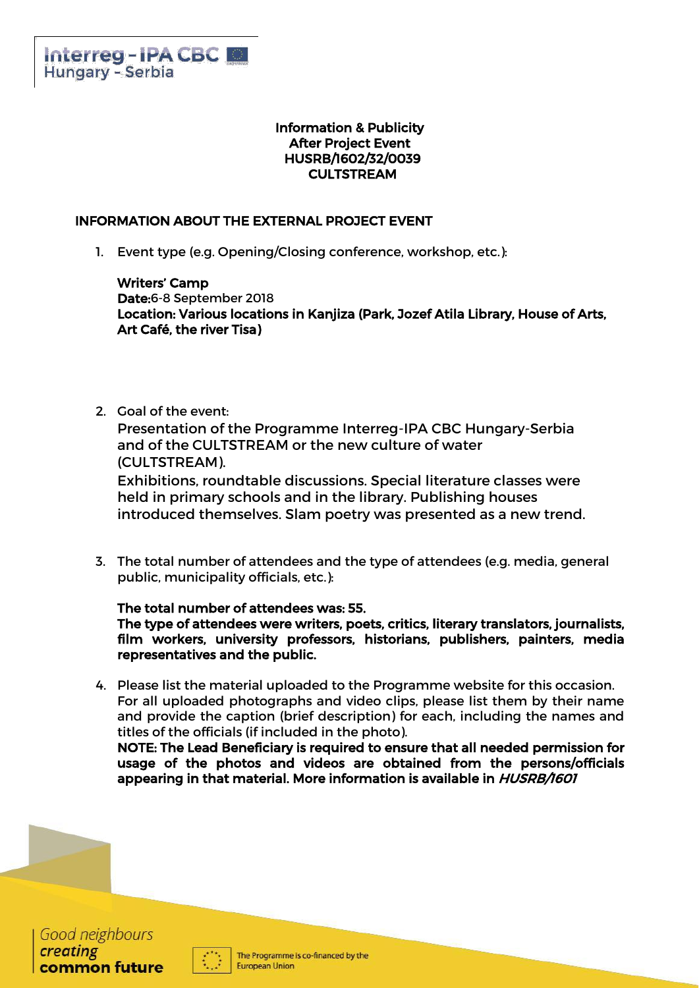### Information & Publicity After Project Event HUSRB/1602/32/0039 CULTSTREAM

# INFORMATION ABOUT THE EXTERNAL PROJECT EVENT

1. Event type (e.g. Opening/Closing conference, workshop, etc.):

Writers' Camp Date:6-8 September 2018 Location: Various locations in Kanjiza (Park, Jozef Atila Library, House of Arts, Art Café, the river Tisa)

2. Goal of the event:

Presentation of the Programme Interreg-IPA CBC Hungary-Serbia and of the CULTSTREAM or the new culture of water (CULTSTREAM).

Exhibitions, roundtable discussions. Special literature classes were held in primary schools and in the library. Publishing houses introduced themselves. Slam poetry was presented as a new trend.

3. The total number of attendees and the type of attendees (e.g. media, general public, municipality officials, etc.):

The total number of attendees was: 55. The type of attendees were writers, poets, critics, literary translators, journalists, film workers, university professors, historians, publishers, painters, media representatives and the public.

4. Please list the material uploaded to the Programme website for this occasion. For all uploaded photographs and video clips, please list them by their name and provide the caption (brief description) for each, including the names and titles of the officials (if included in the photo).

NOTE: The Lead Beneficiary is required to ensure that all needed permission for usage of the photos and videos are obtained from the persons/officials appearing in that material. More information is available in HUSRB/1601



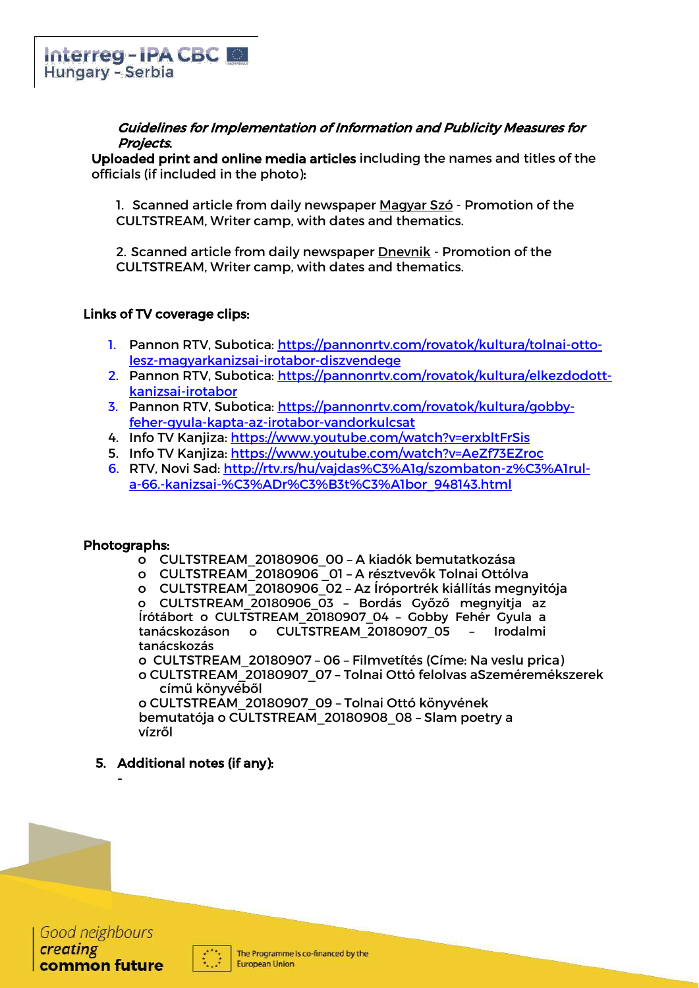### Guidelines for Implementation of Information and Publicity Measures for Projects.

Uploaded print and online media articles including the names and titles of the officials (if included in the photo):

1. Scanned article from daily newspaper Magyar Szó - Promotion of the CULTSTREAM, Writer camp, with dates and thematics.

2. Scanned article from daily newspaper Dnevnik - Promotion of the CULTSTREAM, Writer camp, with dates and thematics.

## Links of TV coverage clips:

- 1. Pannon RTV, Subotica: [https://pannonrtv.com/rovatok/kultura/tolnai-otto](https://pannonrtv.com/rovatok/kultura/tolnai-otto-lesz-magyarkanizsai-irotabor-diszvendege)[lesz-magyarkanizsai-irotabor-diszvendege](https://pannonrtv.com/rovatok/kultura/tolnai-otto-lesz-magyarkanizsai-irotabor-diszvendege)
- 2. Pannon RTV, Subotica: [https://pannonrtv.com/rovatok/kultura/elkezdodott](https://pannonrtv.com/rovatok/kultura/elkezdodott-kanizsai-irotabor)[kanizsai-irotabor](https://pannonrtv.com/rovatok/kultura/elkezdodott-kanizsai-irotabor)
- 3. Pannon RTV, Subotica: [https://pannonrtv.com/rovatok/kultura/gobby](https://pannonrtv.com/rovatok/kultura/gobby-feher-gyula-kapta-az-irotabor-vandorkulcsat)[feher-gyula-kapta-az-irotabor-vandorkulcsat](https://pannonrtv.com/rovatok/kultura/gobby-feher-gyula-kapta-az-irotabor-vandorkulcsat)
- 4. Info TV Kanjiza:<https://www.youtube.com/watch?v=erxbltFrSis>
- 5. Info TV Kanjiza:<https://www.youtube.com/watch?v=AeZf73EZroc>
- 6. RTV, Novi Sad: [http://rtv.rs/hu/vajdas%C3%A1g/szombaton-z%C3%A1rul](http://rtv.rs/hu/vajdas%C3%A1g/szombaton-z%C3%A1rul-a-66.-kanizsai-%C3%ADr%C3%B3t%C3%A1bor_948143.html)[a-66.-kanizsai-%C3%ADr%C3%B3t%C3%A1bor\\_948143.html](http://rtv.rs/hu/vajdas%C3%A1g/szombaton-z%C3%A1rul-a-66.-kanizsai-%C3%ADr%C3%B3t%C3%A1bor_948143.html)

### Photographs:

-

- o CULTSTREAM\_20180906\_00 A kiadók bemutatkozása
- o CULTSTREAM\_20180906 \_01 A résztvevők Tolnai Ottólva
- o CULTSTREAM\_20180906\_02 Az Íróportrék kiállítás megnyitója

o CULTSTREAM\_20180906\_03 – Bordás Győző megnyitja az Írótábort o CULTSTREAM\_20180907\_04 – Gobby Fehér Gyula a tanácskozáson o CULTSTREAM\_20180907\_05 – Irodalmi tanácskozás

o CULTSTREAM\_20180907 – 06 – Filmvetítés (Címe: Na veslu prica) o CULTSTREAM\_20180907\_07 – Tolnai Ottó felolvas aSzeméremékszerek című könyvéből

o CULTSTREAM\_20180907\_09 – Tolnai Ottó könyvének bemutatója o CULTSTREAM\_20180908\_08 – Slam poetry a vízről

### 5. Additional notes (if any):